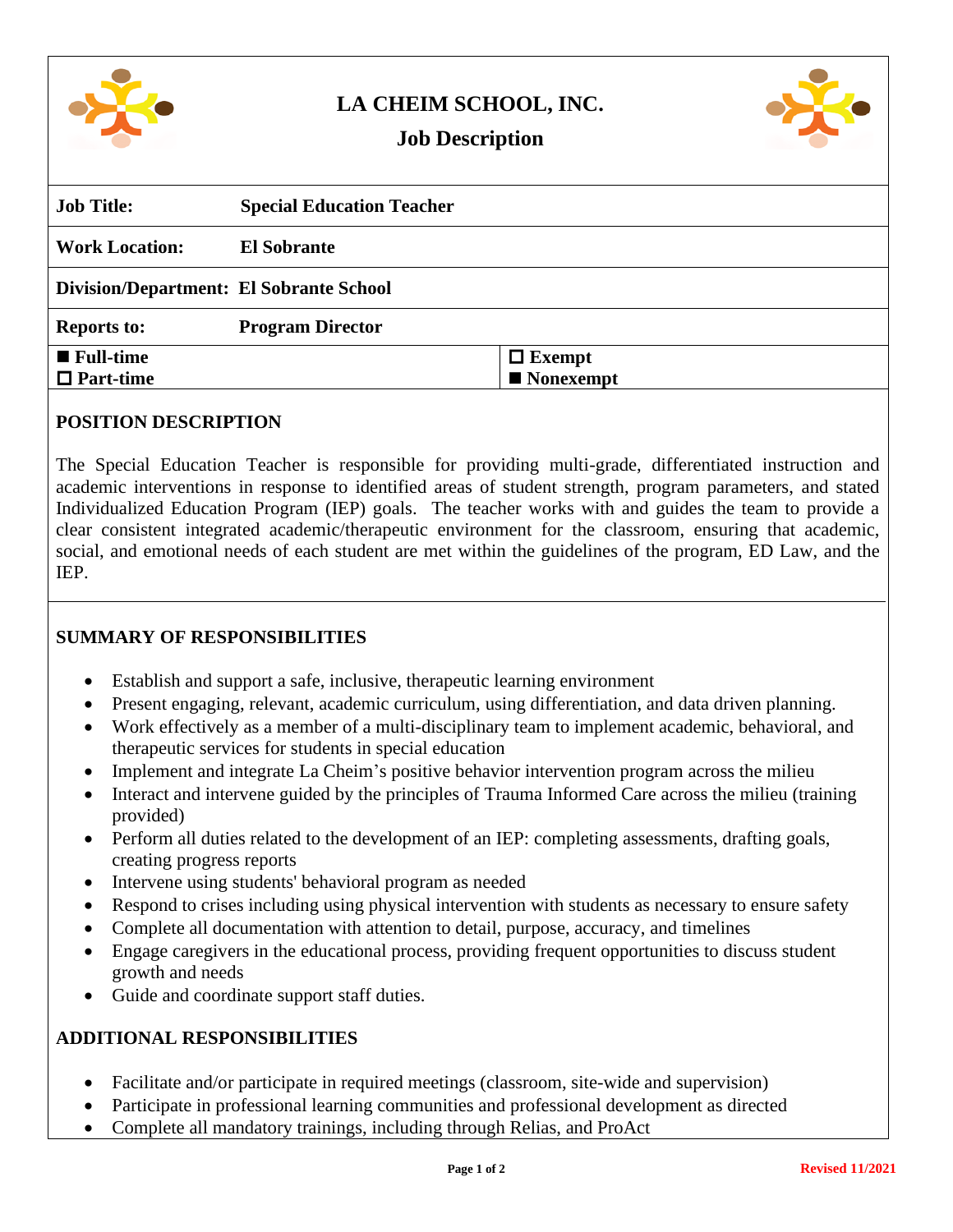

# **LA CHEIM SCHOOL, INC.**



## **Job Description**

| <b>Job Title:</b>                              | <b>Special Education Teacher</b> |               |
|------------------------------------------------|----------------------------------|---------------|
| <b>Work Location:</b>                          | <b>El Sobrante</b>               |               |
| <b>Division/Department: El Sobrante School</b> |                                  |               |
| <b>Reports to:</b>                             | <b>Program Director</b>          |               |
| $\blacksquare$ Full-time                       |                                  | $\Box$ Exempt |
| $\Box$ Part-time                               |                                  | Nonexempt     |
|                                                |                                  |               |

#### **POSITION DESCRIPTION**

The Special Education Teacher is responsible for providing multi-grade, differentiated instruction and academic interventions in response to identified areas of student strength, program parameters, and stated Individualized Education Program (IEP) goals. The teacher works with and guides the team to provide a clear consistent integrated academic/therapeutic environment for the classroom, ensuring that academic, social, and emotional needs of each student are met within the guidelines of the program, ED Law, and the IEP.

## **SUMMARY OF RESPONSIBILITIES**

- Establish and support a safe, inclusive, therapeutic learning environment
- Present engaging, relevant, academic curriculum, using differentiation, and data driven planning.
- Work effectively as a member of a multi-disciplinary team to implement academic, behavioral, and therapeutic services for students in special education
- Implement and integrate La Cheim's positive behavior intervention program across the milieu
- Interact and intervene guided by the principles of Trauma Informed Care across the milieu (training provided)
- Perform all duties related to the development of an IEP: completing assessments, drafting goals, creating progress reports
- Intervene using students' behavioral program as needed
- Respond to crises including using physical intervention with students as necessary to ensure safety
- Complete all documentation with attention to detail, purpose, accuracy, and timelines
- Engage caregivers in the educational process, providing frequent opportunities to discuss student growth and needs
- Guide and coordinate support staff duties.

#### **ADDITIONAL RESPONSIBILITIES**

- Facilitate and/or participate in required meetings (classroom, site-wide and supervision)
- Participate in professional learning communities and professional development as directed
- Complete all mandatory trainings, including through Relias, and ProAct